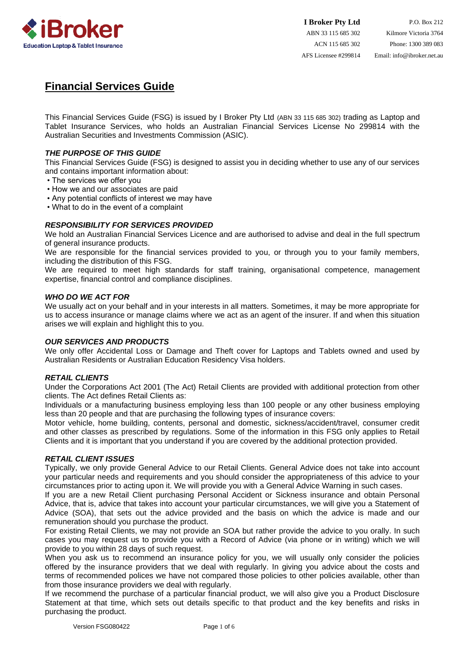

## **Financial Services Guide**

This Financial Services Guide (FSG) is issued by I Broker Pty Ltd (ABN 33 115 685 302) trading as Laptop and Tablet Insurance Services, who holds an Australian Financial Services License No 299814 with the Australian Securities and Investments Commission (ASIC).

## *THE PURPOSE OF THIS GUIDE*

This Financial Services Guide (FSG) is designed to assist you in deciding whether to use any of our services and contains important information about:

- The services we offer you
- How we and our associates are paid
- Any potential conflicts of interest we may have
- What to do in the event of a complaint

## *RESPONSIBILITY FOR SERVICES PROVIDED*

We hold an Australian Financial Services Licence and are authorised to advise and deal in the full spectrum of general insurance products.

We are responsible for the financial services provided to you, or through you to your family members, including the distribution of this FSG.

We are required to meet high standards for staff training, organisational competence, management expertise, financial control and compliance disciplines.

## *WHO DO WE ACT FOR*

We usually act on your behalf and in your interests in all matters. Sometimes, it may be more appropriate for us to access insurance or manage claims where we act as an agent of the insurer. If and when this situation arises we will explain and highlight this to you.

## *OUR SERVICES AND PRODUCTS*

We only offer Accidental Loss or Damage and Theft cover for Laptops and Tablets owned and used by Australian Residents or Australian Education Residency Visa holders.

## *RETAIL CLIENTS*

Under the Corporations Act 2001 (The Act) Retail Clients are provided with additional protection from other clients. The Act defines Retail Clients as:

Individuals or a manufacturing business employing less than 100 people or any other business employing less than 20 people and that are purchasing the following types of insurance covers:

Motor vehicle, home building, contents, personal and domestic, sickness/accident/travel, consumer credit and other classes as prescribed by regulations. Some of the information in this FSG only applies to Retail Clients and it is important that you understand if you are covered by the additional protection provided.

## *RETAIL CLIENT ISSUES*

Typically, we only provide General Advice to our Retail Clients. General Advice does not take into account your particular needs and requirements and you should consider the appropriateness of this advice to your circumstances prior to acting upon it. We will provide you with a General Advice Warning in such cases.

If you are a new Retail Client purchasing Personal Accident or Sickness insurance and obtain Personal Advice, that is, advice that takes into account your particular circumstances, we will give you a Statement of Advice (SOA), that sets out the advice provided and the basis on which the advice is made and our remuneration should you purchase the product.

For existing Retail Clients, we may not provide an SOA but rather provide the advice to you orally. In such cases you may request us to provide you with a Record of Advice (via phone or in writing) which we will provide to you within 28 days of such request.

When you ask us to recommend an insurance policy for you, we will usually only consider the policies offered by the insurance providers that we deal with regularly. In giving you advice about the costs and terms of recommended polices we have not compared those policies to other policies available, other than from those insurance providers we deal with regularly.

If we recommend the purchase of a particular financial product, we will also give you a Product Disclosure Statement at that time, which sets out details specific to that product and the key benefits and risks in purchasing the product.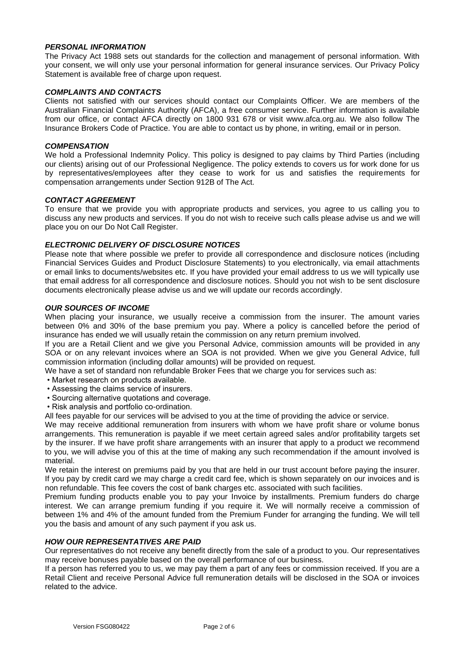## *PERSONAL INFORMATION*

The Privacy Act 1988 sets out standards for the collection and management of personal information. With your consent, we will only use your personal information for general insurance services. Our Privacy Policy Statement is available free of charge upon request.

## *COMPLAINTS AND CONTACTS*

Clients not satisfied with our services should contact our Complaints Officer. We are members of the Australian Financial Complaints Authority (AFCA), a free consumer service. Further information is available from our office, or contact AFCA directly on 1800 931 678 or visit www.afca.org.au. We also follow The Insurance Brokers Code of Practice. You are able to contact us by phone, in writing, email or in person.

## *COMPENSATION*

We hold a Professional Indemnity Policy. This policy is designed to pay claims by Third Parties (including our clients) arising out of our Professional Negligence. The policy extends to covers us for work done for us by representatives/employees after they cease to work for us and satisfies the requirements for compensation arrangements under Section 912B of The Act.

## *CONTACT AGREEMENT*

To ensure that we provide you with appropriate products and services, you agree to us calling you to discuss any new products and services. If you do not wish to receive such calls please advise us and we will place you on our Do Not Call Register.

## *ELECTRONIC DELIVERY OF DISCLOSURE NOTICES*

Please note that where possible we prefer to provide all correspondence and disclosure notices (including Financial Services Guides and Product Disclosure Statements) to you electronically, via email attachments or email links to documents/websites etc. If you have provided your email address to us we will typically use that email address for all correspondence and disclosure notices. Should you not wish to be sent disclosure documents electronically please advise us and we will update our records accordingly.

## *OUR SOURCES OF INCOME*

When placing your insurance, we usually receive a commission from the insurer. The amount varies between 0% and 30% of the base premium you pay. Where a policy is cancelled before the period of insurance has ended we will usually retain the commission on any return premium involved.

If you are a Retail Client and we give you Personal Advice, commission amounts will be provided in any SOA or on any relevant invoices where an SOA is not provided. When we give you General Advice, full commission information (including dollar amounts) will be provided on request.

We have a set of standard non refundable Broker Fees that we charge you for services such as:

- Market research on products available.
- Assessing the claims service of insurers.
- Sourcing alternative quotations and coverage.
- Risk analysis and portfolio co-ordination.

All fees payable for our services will be advised to you at the time of providing the advice or service.

We may receive additional remuneration from insurers with whom we have profit share or volume bonus arrangements. This remuneration is payable if we meet certain agreed sales and/or profitability targets set by the insurer. If we have profit share arrangements with an insurer that apply to a product we recommend to you, we will advise you of this at the time of making any such recommendation if the amount involved is material.

We retain the interest on premiums paid by you that are held in our trust account before paying the insurer. If you pay by credit card we may charge a credit card fee, which is shown separately on our invoices and is non refundable. This fee covers the cost of bank charges etc. associated with such facilities.

Premium funding products enable you to pay your Invoice by installments. Premium funders do charge interest. We can arrange premium funding if you require it. We will normally receive a commission of between 1% and 4% of the amount funded from the Premium Funder for arranging the funding. We will tell you the basis and amount of any such payment if you ask us.

## *HOW OUR REPRESENTATIVES ARE PAID*

Our representatives do not receive any benefit directly from the sale of a product to you. Our representatives may receive bonuses payable based on the overall performance of our business.

If a person has referred you to us, we may pay them a part of any fees or commission received. If you are a Retail Client and receive Personal Advice full remuneration details will be disclosed in the SOA or invoices related to the advice.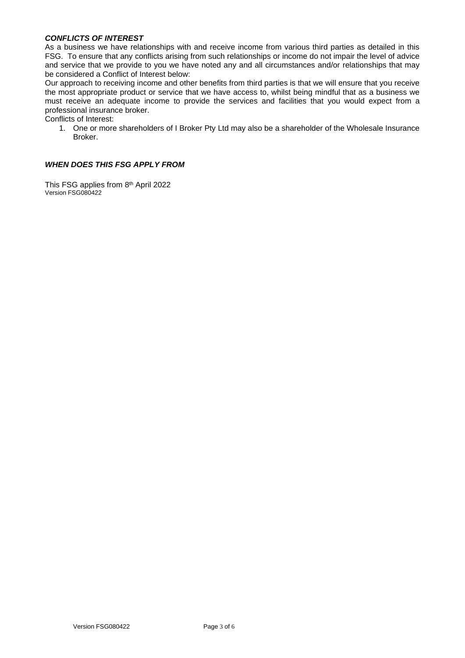## *CONFLICTS OF INTEREST*

As a business we have relationships with and receive income from various third parties as detailed in this FSG. To ensure that any conflicts arising from such relationships or income do not impair the level of advice and service that we provide to you we have noted any and all circumstances and/or relationships that may be considered a Conflict of Interest below:

Our approach to receiving income and other benefits from third parties is that we will ensure that you receive the most appropriate product or service that we have access to, whilst being mindful that as a business we must receive an adequate income to provide the services and facilities that you would expect from a professional insurance broker.

Conflicts of Interest:

1. One or more shareholders of I Broker Pty Ltd may also be a shareholder of the Wholesale Insurance Broker.

## *WHEN DOES THIS FSG APPLY FROM*

This FSG applies from 8<sup>th</sup> April 2022 Version FSG080422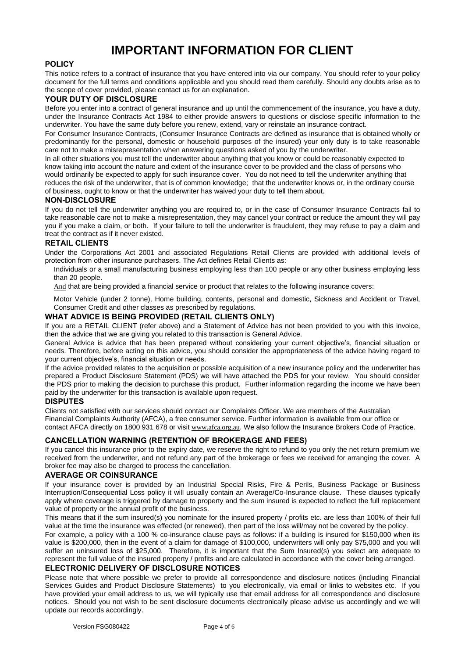# **IMPORTANT INFORMATION FOR CLIENT**

## **POLICY**

This notice refers to a contract of insurance that you have entered into via our company. You should refer to your policy document for the full terms and conditions applicable and you should read them carefully. Should any doubts arise as to the scope of cover provided, please contact us for an explanation.

## **YOUR DUTY OF DISCLOSURE**

Before you enter into a contract of general insurance and up until the commencement of the insurance, you have a duty, under the Insurance Contracts Act 1984 to either provide answers to questions or disclose specific information to the underwriter. You have the same duty before you renew, extend, vary or reinstate an insurance contract.

For Consumer Insurance Contracts, (Consumer Insurance Contracts are defined as insurance that is obtained wholly or predominantly for the personal, domestic or household purposes of the insured) your only duty is to take reasonable care not to make a misrepresentation when answering questions asked of you by the underwriter.

In all other situations you must tell the underwriter about anything that you know or could be reasonably expected to know taking into account the nature and extent of the insurance cover to be provided and the class of persons who would ordinarily be expected to apply for such insurance cover. You do not need to tell the underwriter anything that reduces the risk of the underwriter, that is of common knowledge; that the underwriter knows or, in the ordinary course of business, ought to know or that the underwriter has waived your duty to tell them about.

#### **NON-DISCLOSURE**

If you do not tell the underwriter anything you are required to, or in the case of Consumer Insurance Contracts fail to take reasonable care not to make a misrepresentation, they may cancel your contract or reduce the amount they will pay you if you make a claim, or both. If your failure to tell the underwriter is fraudulent, they may refuse to pay a claim and treat the contract as if it never existed.

## **RETAIL CLIENTS**

Under the Corporations Act 2001 and associated Regulations Retail Clients are provided with additional levels of protection from other insurance purchasers. The Act defines Retail Clients as:

Individuals or a small manufacturing business employing less than 100 people or any other business employing less than 20 people.

And that are being provided a financial service or product that relates to the following insurance covers:

Motor Vehicle (under 2 tonne), Home building, contents, personal and domestic, Sickness and Accident or Travel, Consumer Credit and other classes as prescribed by regulations.

## **WHAT ADVICE IS BEING PROVIDED (RETAIL CLIENTS ONLY)**

If you are a RETAIL CLIENT (refer above) and a Statement of Advice has not been provided to you with this invoice, then the advice that we are giving you related to this transaction is General Advice.

General Advice is advice that has been prepared without considering your current objective's, financial situation or needs. Therefore, before acting on this advice, you should consider the appropriateness of the advice having regard to your current objective's, financial situation or needs.

If the advice provided relates to the acquisition or possible acquisition of a new insurance policy and the underwriter has prepared a Product Disclosure Statement (PDS) we will have attached the PDS for your review. You should consider the PDS prior to making the decision to purchase this product. Further information regarding the income we have been paid by the underwriter for this transaction is available upon request.

## **DISPUTES**

Clients not satisfied with our services should contact our Complaints Officer. We are members of the Australian Financial Complaints Authority (AFCA), a free consumer service. Further information is available from our office or contact AFCA directly on 1800 931 678 or visit [www.afca.org.au](http://www.fos.org.au/). We also follow the Insurance Brokers Code of Practice.

## **CANCELLATION WARNING (RETENTION OF BROKERAGE AND FEES)**

If you cancel this insurance prior to the expiry date, we reserve the right to refund to you only the net return premium we received from the underwriter, and not refund any part of the brokerage or fees we received for arranging the cover. A broker fee may also be charged to process the cancellation.

## **AVERAGE OR COINSURANCE**

If your insurance cover is provided by an Industrial Special Risks, Fire & Perils, Business Package or Business Interruption/Consequential Loss policy it will usually contain an Average/Co-Insurance clause. These clauses typically apply where coverage is triggered by damage to property and the sum insured is expected to reflect the full replacement value of property or the annual profit of the business.

This means that if the sum insured(s) you nominate for the insured property / profits etc. are less than 100% of their full value at the time the insurance was effected (or renewed), then part of the loss will/may not be covered by the policy.

For example, a policy with a 100 % co-insurance clause pays as follows: if a building is insured for \$150,000 when its value is \$200,000, then in the event of a claim for damage of \$100,000, underwriters will only pay \$75,000 and you will suffer an uninsured loss of \$25,000. Therefore, it is important that the Sum Insured(s) you select are adequate to represent the full value of the insured property / profits and are calculated in accordance with the cover being arranged.

## **ELECTRONIC DELIVERY OF DISCLOSURE NOTICES**

Please note that where possible we prefer to provide all correspondence and disclosure notices (including Financial Services Guides and Product Disclosure Statements) to you electronically, via email or links to websites etc. If you have provided your email address to us, we will typically use that email address for all correspondence and disclosure notices. Should you not wish to be sent disclosure documents electronically please advise us accordingly and we will update our records accordingly.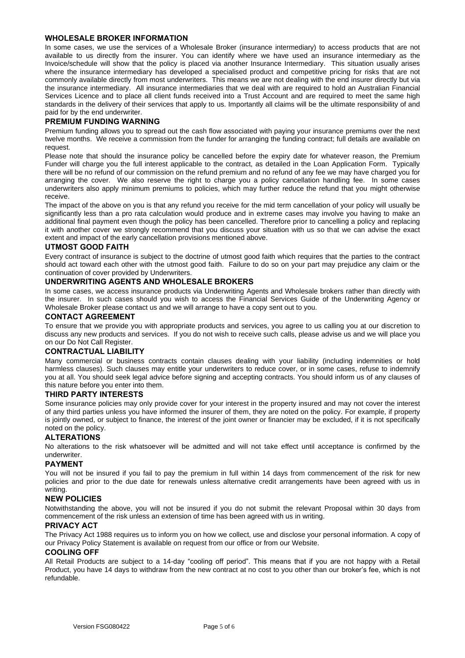## **WHOLESALE BROKER INFORMATION**

In some cases, we use the services of a Wholesale Broker (insurance intermediary) to access products that are not available to us directly from the insurer. You can identify where we have used an insurance intermediary as the Invoice/schedule will show that the policy is placed via another Insurance Intermediary. This situation usually arises where the insurance intermediary has developed a specialised product and competitive pricing for risks that are not commonly available directly from most underwriters. This means we are not dealing with the end insurer directly but via the insurance intermediary. All insurance intermediaries that we deal with are required to hold an Australian Financial Services Licence and to place all client funds received into a Trust Account and are required to meet the same high standards in the delivery of their services that apply to us. Importantly all claims will be the ultimate responsibility of and paid for by the end underwriter.

#### **PREMIUM FUNDING WARNING**

Premium funding allows you to spread out the cash flow associated with paying your insurance premiums over the next twelve months. We receive a commission from the funder for arranging the funding contract; full details are available on request.

Please note that should the insurance policy be cancelled before the expiry date for whatever reason, the Premium Funder will charge you the full interest applicable to the contract, as detailed in the Loan Application Form. Typically there will be no refund of our commission on the refund premium and no refund of any fee we may have charged you for arranging the cover. We also reserve the right to charge you a policy cancellation handling fee. In some cases underwriters also apply minimum premiums to policies, which may further reduce the refund that you might otherwise receive.

The impact of the above on you is that any refund you receive for the mid term cancellation of your policy will usually be significantly less than a pro rata calculation would produce and in extreme cases may involve you having to make an additional final payment even though the policy has been cancelled. Therefore prior to cancelling a policy and replacing it with another cover we strongly recommend that you discuss your situation with us so that we can advise the exact extent and impact of the early cancellation provisions mentioned above.

#### **UTMOST GOOD FAITH**

Every contract of insurance is subject to the doctrine of utmost good faith which requires that the parties to the contract should act toward each other with the utmost good faith. Failure to do so on your part may prejudice any claim or the continuation of cover provided by Underwriters.

## **UNDERWRITING AGENTS AND WHOLESALE BROKERS**

In some cases, we access insurance products via Underwriting Agents and Wholesale brokers rather than directly with the insurer. In such cases should you wish to access the Financial Services Guide of the Underwriting Agency or Wholesale Broker please contact us and we will arrange to have a copy sent out to you.

#### **CONTACT AGREEMENT**

To ensure that we provide you with appropriate products and services, you agree to us calling you at our discretion to discuss any new products and services. If you do not wish to receive such calls, please advise us and we will place you on our Do Not Call Register.

## **CONTRACTUAL LIABILITY**

Many commercial or business contracts contain clauses dealing with your liability (including indemnities or hold harmless clauses). Such clauses may entitle your underwriters to reduce cover, or in some cases, refuse to indemnify you at all. You should seek legal advice before signing and accepting contracts. You should inform us of any clauses of this nature before you enter into them.

#### **THIRD PARTY INTERESTS**

Some insurance policies may only provide cover for your interest in the property insured and may not cover the interest of any third parties unless you have informed the insurer of them, they are noted on the policy. For example, if property is jointly owned, or subject to finance, the interest of the joint owner or financier may be excluded, if it is not specifically noted on the policy.

#### **ALTERATIONS**

No alterations to the risk whatsoever will be admitted and will not take effect until acceptance is confirmed by the underwriter.

#### **PAYMENT**

You will not be insured if you fail to pay the premium in full within 14 days from commencement of the risk for new policies and prior to the due date for renewals unless alternative credit arrangements have been agreed with us in writing.

## **NEW POLICIES**

Notwithstanding the above, you will not be insured if you do not submit the relevant Proposal within 30 days from commencement of the risk unless an extension of time has been agreed with us in writing.

#### **PRIVACY ACT**

The Privacy Act 1988 requires us to inform you on how we collect, use and disclose your personal information. A copy of our Privacy Policy Statement is available on request from our office or from our Website.

#### **COOLING OFF**

All Retail Products are subject to a 14-day "cooling off period". This means that if you are not happy with a Retail Product, you have 14 days to withdraw from the new contract at no cost to you other than our broker's fee, which is not refundable.